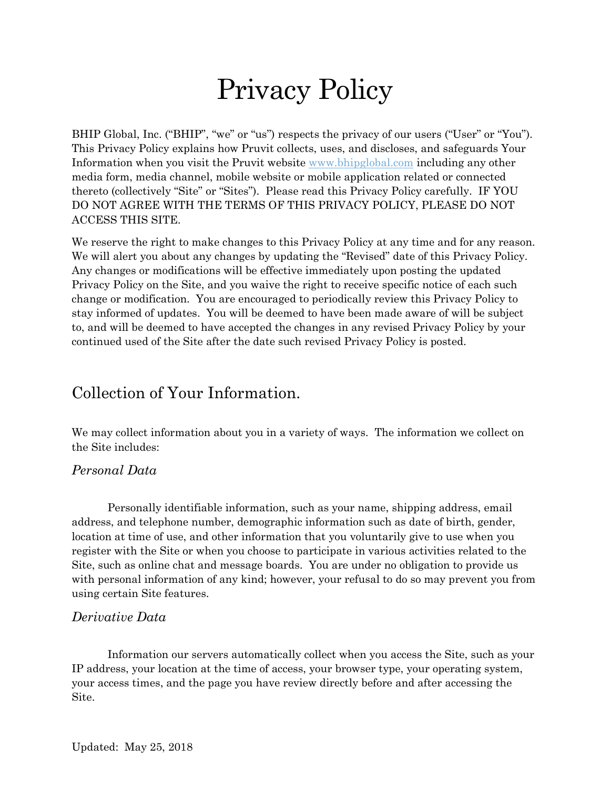# Privacy Policy

BHIP Global, Inc. ("BHIP", "we" or "us") respects the privacy of our users ("User" or "You"). This Privacy Policy explains how Pruvit collects, uses, and discloses, and safeguards Your Information when you visit the Pruvit website [www.bhipglobal.com](http://www.bhipglobal.com/) including any other media form, media channel, mobile website or mobile application related or connected thereto (collectively "Site" or "Sites"). Please read this Privacy Policy carefully. IF YOU DO NOT AGREE WITH THE TERMS OF THIS PRIVACY POLICY, PLEASE DO NOT ACCESS THIS SITE.

We reserve the right to make changes to this Privacy Policy at any time and for any reason. We will alert you about any changes by updating the "Revised" date of this Privacy Policy. Any changes or modifications will be effective immediately upon posting the updated Privacy Policy on the Site, and you waive the right to receive specific notice of each such change or modification. You are encouraged to periodically review this Privacy Policy to stay informed of updates. You will be deemed to have been made aware of will be subject to, and will be deemed to have accepted the changes in any revised Privacy Policy by your continued used of the Site after the date such revised Privacy Policy is posted.

### Collection of Your Information.

We may collect information about you in a variety of ways. The information we collect on the Site includes:

### *Personal Data*

Personally identifiable information, such as your name, shipping address, email address, and telephone number, demographic information such as date of birth, gender, location at time of use, and other information that you voluntarily give to use when you register with the Site or when you choose to participate in various activities related to the Site, such as online chat and message boards. You are under no obligation to provide us with personal information of any kind; however, your refusal to do so may prevent you from using certain Site features.

### *Derivative Data*

Information our servers automatically collect when you access the Site, such as your IP address, your location at the time of access, your browser type, your operating system, your access times, and the page you have review directly before and after accessing the Site.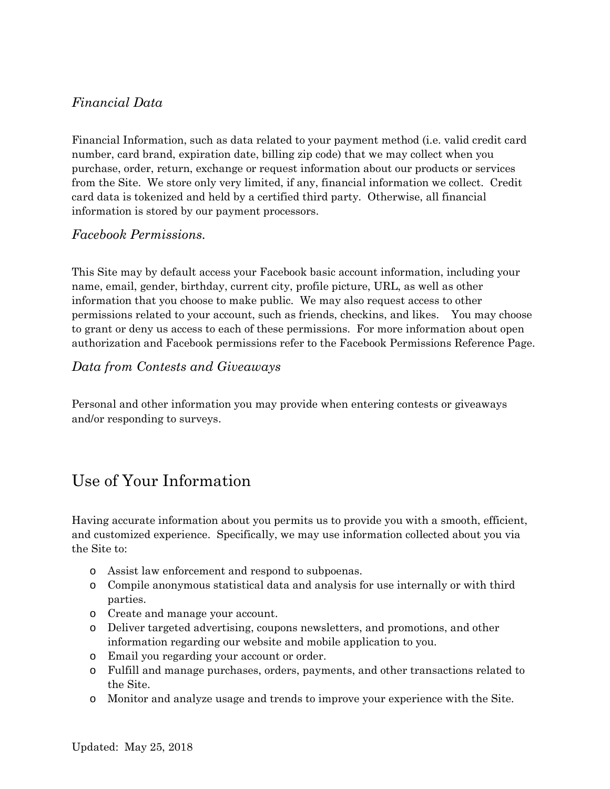### *Financial Data*

Financial Information, such as data related to your payment method (i.e. valid credit card number, card brand, expiration date, billing zip code) that we may collect when you purchase, order, return, exchange or request information about our products or services from the Site. We store only very limited, if any, financial information we collect. Credit card data is tokenized and held by a certified third party. Otherwise, all financial information is stored by our payment processors.

### *Facebook Permissions.*

This Site may by default access your Facebook basic account information, including your name, email, gender, birthday, current city, profile picture, URL, as well as other information that you choose to make public. We may also request access to other permissions related to your account, such as friends, checkins, and likes. You may choose to grant or deny us access to each of these permissions. For more information about open authorization and Facebook permissions refer to the Facebook Permissions Reference Page.

### *Data from Contests and Giveaways*

Personal and other information you may provide when entering contests or giveaways and/or responding to surveys.

# Use of Your Information

Having accurate information about you permits us to provide you with a smooth, efficient, and customized experience. Specifically, we may use information collected about you via the Site to:

- o Assist law enforcement and respond to subpoenas.
- o Compile anonymous statistical data and analysis for use internally or with third parties.
- o Create and manage your account.
- o Deliver targeted advertising, coupons newsletters, and promotions, and other information regarding our website and mobile application to you.
- o Email you regarding your account or order.
- o Fulfill and manage purchases, orders, payments, and other transactions related to the Site.
- o Monitor and analyze usage and trends to improve your experience with the Site.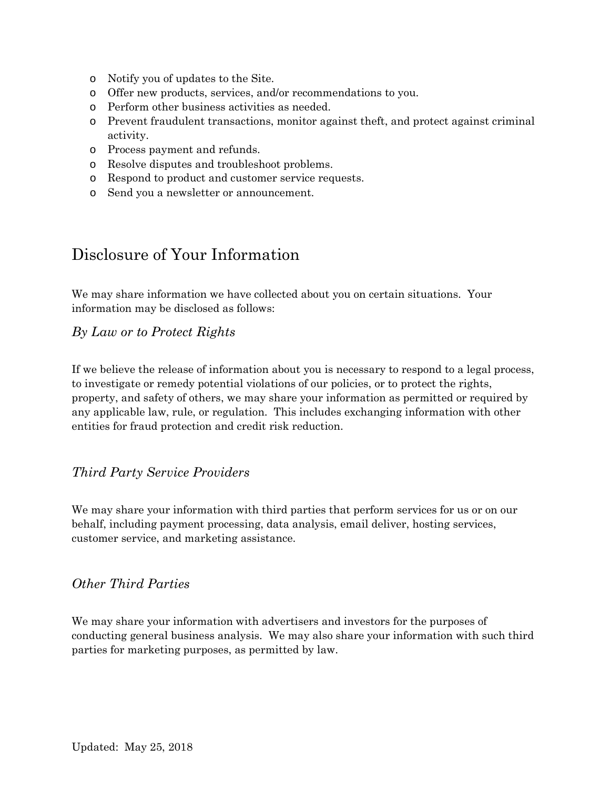- o Notify you of updates to the Site.
- o Offer new products, services, and/or recommendations to you.
- o Perform other business activities as needed.
- o Prevent fraudulent transactions, monitor against theft, and protect against criminal activity.
- o Process payment and refunds.
- o Resolve disputes and troubleshoot problems.
- o Respond to product and customer service requests.
- o Send you a newsletter or announcement.

# Disclosure of Your Information

We may share information we have collected about you on certain situations. Your information may be disclosed as follows:

#### *By Law or to Protect Rights*

If we believe the release of information about you is necessary to respond to a legal process, to investigate or remedy potential violations of our policies, or to protect the rights, property, and safety of others, we may share your information as permitted or required by any applicable law, rule, or regulation. This includes exchanging information with other entities for fraud protection and credit risk reduction.

### *Third Party Service Providers*

We may share your information with third parties that perform services for us or on our behalf, including payment processing, data analysis, email deliver, hosting services, customer service, and marketing assistance.

### *Other Third Parties*

We may share your information with advertisers and investors for the purposes of conducting general business analysis. We may also share your information with such third parties for marketing purposes, as permitted by law.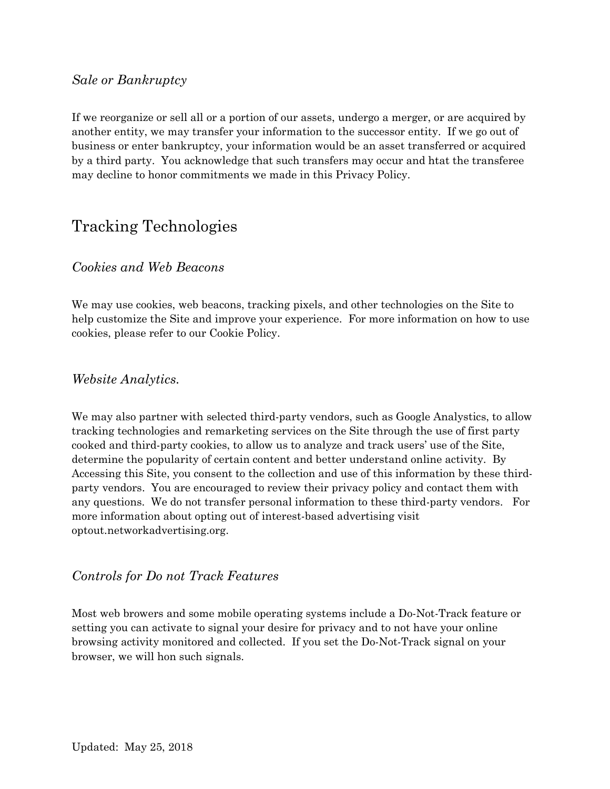#### *Sale or Bankruptcy*

If we reorganize or sell all or a portion of our assets, undergo a merger, or are acquired by another entity, we may transfer your information to the successor entity. If we go out of business or enter bankruptcy, your information would be an asset transferred or acquired by a third party. You acknowledge that such transfers may occur and htat the transferee may decline to honor commitments we made in this Privacy Policy.

# Tracking Technologies

### *Cookies and Web Beacons*

We may use cookies, web beacons, tracking pixels, and other technologies on the Site to help customize the Site and improve your experience. For more information on how to use cookies, please refer to our Cookie Policy.

#### *Website Analytics.*

We may also partner with selected third-party vendors, such as Google Analystics, to allow tracking technologies and remarketing services on the Site through the use of first party cooked and third-party cookies, to allow us to analyze and track users' use of the Site, determine the popularity of certain content and better understand online activity. By Accessing this Site, you consent to the collection and use of this information by these thirdparty vendors. You are encouraged to review their privacy policy and contact them with any questions. We do not transfer personal information to these third-party vendors. For more information about opting out of interest-based advertising visit optout.networkadvertising.org.

### *Controls for Do not Track Features*

Most web browers and some mobile operating systems include a Do-Not-Track feature or setting you can activate to signal your desire for privacy and to not have your online browsing activity monitored and collected. If you set the Do-Not-Track signal on your browser, we will hon such signals.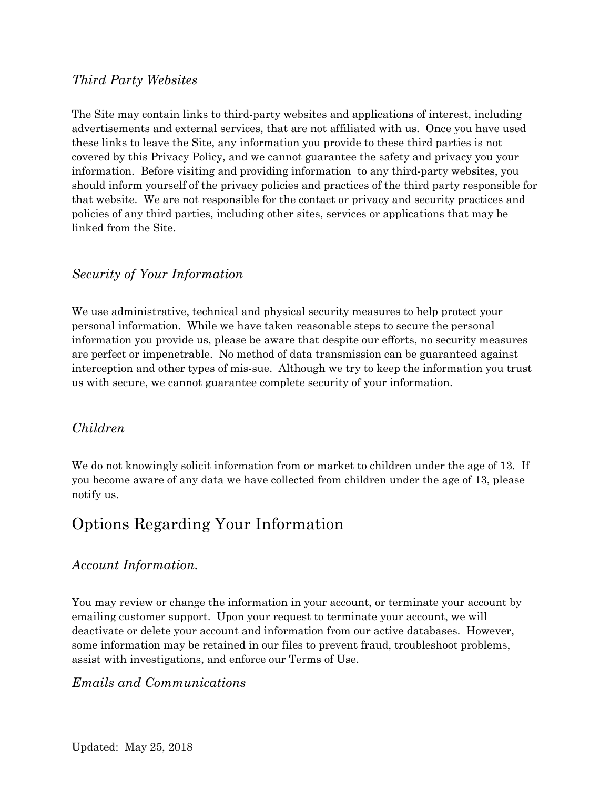#### *Third Party Websites*

The Site may contain links to third-party websites and applications of interest, including advertisements and external services, that are not affiliated with us. Once you have used these links to leave the Site, any information you provide to these third parties is not covered by this Privacy Policy, and we cannot guarantee the safety and privacy you your information. Before visiting and providing information to any third-party websites, you should inform yourself of the privacy policies and practices of the third party responsible for that website. We are not responsible for the contact or privacy and security practices and policies of any third parties, including other sites, services or applications that may be linked from the Site.

### *Security of Your Information*

We use administrative, technical and physical security measures to help protect your personal information. While we have taken reasonable steps to secure the personal information you provide us, please be aware that despite our efforts, no security measures are perfect or impenetrable. No method of data transmission can be guaranteed against interception and other types of mis-sue. Although we try to keep the information you trust us with secure, we cannot guarantee complete security of your information.

### *Children*

We do not knowingly solicit information from or market to children under the age of 13. If you become aware of any data we have collected from children under the age of 13, please notify us.

# Options Regarding Your Information

#### *Account Information.*

You may review or change the information in your account, or terminate your account by emailing customer support. Upon your request to terminate your account, we will deactivate or delete your account and information from our active databases. However, some information may be retained in our files to prevent fraud, troubleshoot problems, assist with investigations, and enforce our Terms of Use.

#### *Emails and Communications*